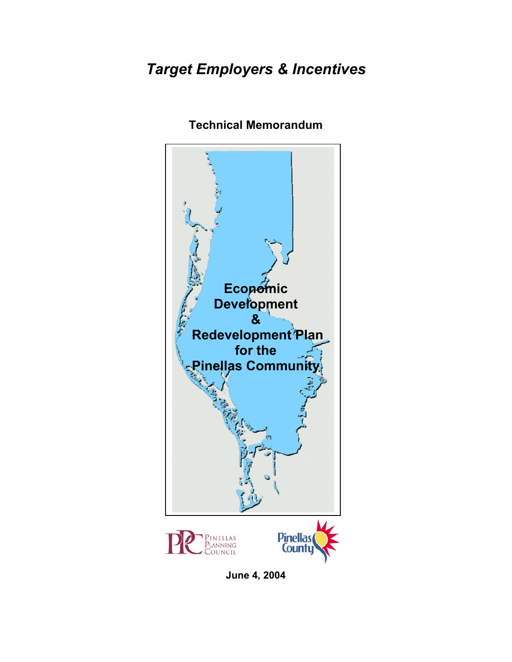# *Target Employers & Incentives*



## **Technical Memorandum**

**June 4, 2004**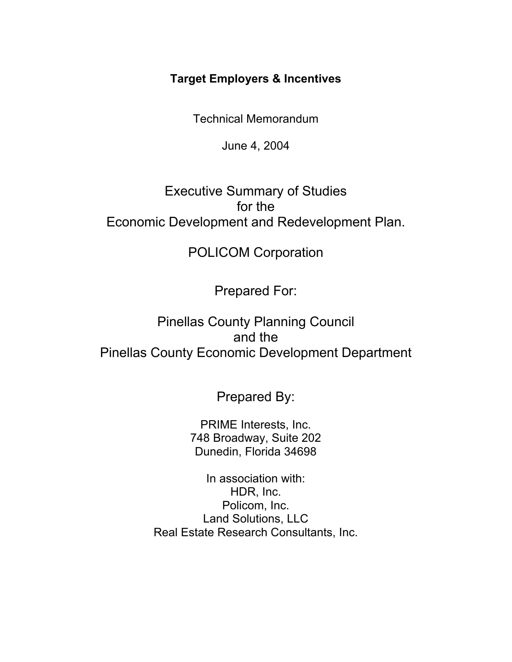## **Target Employers & Incentives**

Technical Memorandum

June 4, 2004

## Executive Summary of Studies for the Economic Development and Redevelopment Plan.

## POLICOM Corporation

Prepared For:

Pinellas County Planning Council and the Pinellas County Economic Development Department

Prepared By:

PRIME Interests, Inc. 748 Broadway, Suite 202 Dunedin, Florida 34698

In association with: HDR, Inc. Policom, Inc. Land Solutions, LLC Real Estate Research Consultants, Inc.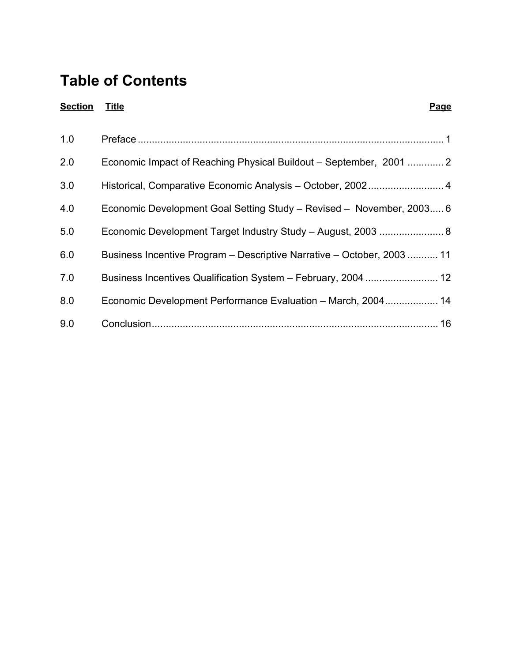# **Table of Contents**

| <b>Section</b> | <u>Title</u><br>Page                                                   |
|----------------|------------------------------------------------------------------------|
| 1.0            |                                                                        |
| 2.0            | Economic Impact of Reaching Physical Buildout – September, 2001  2     |
| 3.0            |                                                                        |
| 4.0            | Economic Development Goal Setting Study – Revised – November, 2003 6   |
| 5.0            | Economic Development Target Industry Study - August, 2003  8           |
| 6.0            | Business Incentive Program - Descriptive Narrative - October, 2003  11 |
| 7.0            |                                                                        |
| 8.0            | Economic Development Performance Evaluation - March, 2004 14           |
| 9.0            | 16                                                                     |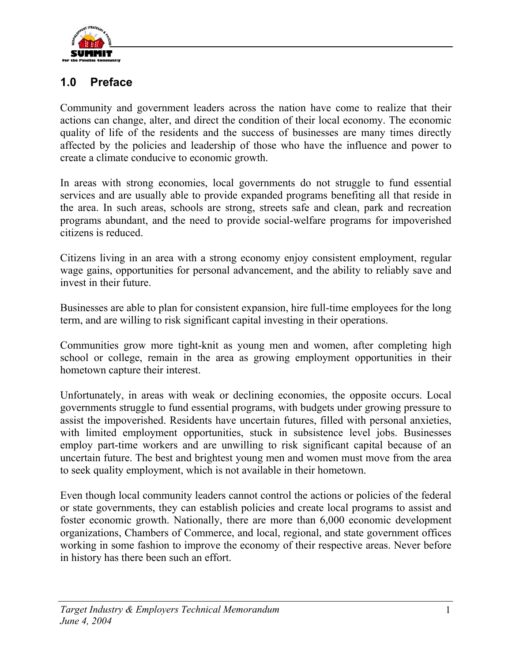

## **1.0 Preface**

Community and government leaders across the nation have come to realize that their actions can change, alter, and direct the condition of their local economy. The economic quality of life of the residents and the success of businesses are many times directly affected by the policies and leadership of those who have the influence and power to create a climate conducive to economic growth.

In areas with strong economies, local governments do not struggle to fund essential services and are usually able to provide expanded programs benefiting all that reside in the area. In such areas, schools are strong, streets safe and clean, park and recreation programs abundant, and the need to provide social-welfare programs for impoverished citizens is reduced.

Citizens living in an area with a strong economy enjoy consistent employment, regular wage gains, opportunities for personal advancement, and the ability to reliably save and invest in their future.

Businesses are able to plan for consistent expansion, hire full-time employees for the long term, and are willing to risk significant capital investing in their operations.

Communities grow more tight-knit as young men and women, after completing high school or college, remain in the area as growing employment opportunities in their hometown capture their interest.

Unfortunately, in areas with weak or declining economies, the opposite occurs. Local governments struggle to fund essential programs, with budgets under growing pressure to assist the impoverished. Residents have uncertain futures, filled with personal anxieties, with limited employment opportunities, stuck in subsistence level jobs. Businesses employ part-time workers and are unwilling to risk significant capital because of an uncertain future. The best and brightest young men and women must move from the area to seek quality employment, which is not available in their hometown.

Even though local community leaders cannot control the actions or policies of the federal or state governments, they can establish policies and create local programs to assist and foster economic growth. Nationally, there are more than 6,000 economic development organizations, Chambers of Commerce, and local, regional, and state government offices working in some fashion to improve the economy of their respective areas. Never before in history has there been such an effort.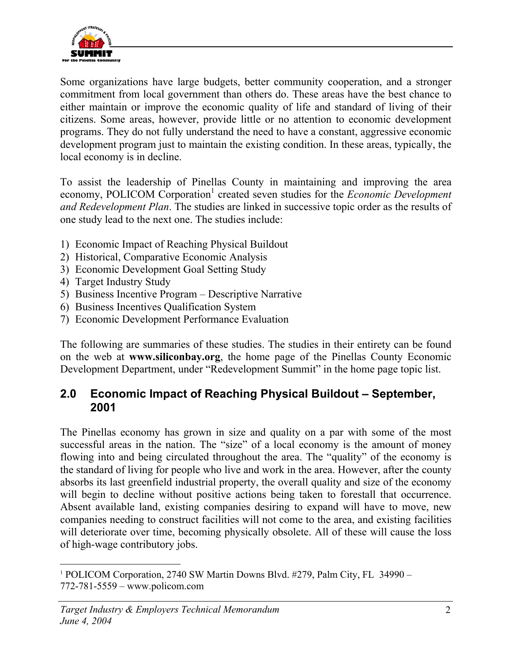

Some organizations have large budgets, better community cooperation, and a stronger commitment from local government than others do. These areas have the best chance to either maintain or improve the economic quality of life and standard of living of their citizens. Some areas, however, provide little or no attention to economic development programs. They do not fully understand the need to have a constant, aggressive economic development program just to maintain the existing condition. In these areas, typically, the local economy is in decline.

To assist the leadership of Pinellas County in maintaining and improving the area economy, POLICOM Corporation<sup>1</sup> created seven studies for the *Economic Development and Redevelopment Plan*. The studies are linked in successive topic order as the results of one study lead to the next one. The studies include:

- 1) Economic Impact of Reaching Physical Buildout
- 2) Historical, Comparative Economic Analysis
- 3) Economic Development Goal Setting Study
- 4) Target Industry Study
- 5) Business Incentive Program Descriptive Narrative
- 6) Business Incentives Qualification System
- 7) Economic Development Performance Evaluation

The following are summaries of these studies. The studies in their entirety can be found on the web at **www.siliconbay.org**, the home page of the Pinellas County Economic Development Department, under "Redevelopment Summit" in the home page topic list.

## **2.0 Economic Impact of Reaching Physical Buildout – September, 2001**

The Pinellas economy has grown in size and quality on a par with some of the most successful areas in the nation. The "size" of a local economy is the amount of money flowing into and being circulated throughout the area. The "quality" of the economy is the standard of living for people who live and work in the area. However, after the county absorbs its last greenfield industrial property, the overall quality and size of the economy will begin to decline without positive actions being taken to forestall that occurrence. Absent available land, existing companies desiring to expand will have to move, new companies needing to construct facilities will not come to the area, and existing facilities will deteriorate over time, becoming physically obsolete. All of these will cause the loss of high-wage contributory jobs.

 $\overline{a}$ <sup>1</sup> POLICOM Corporation, 2740 SW Martin Downs Blvd. #279, Palm City, FL 34990 -772-781-5559 – www.policom.com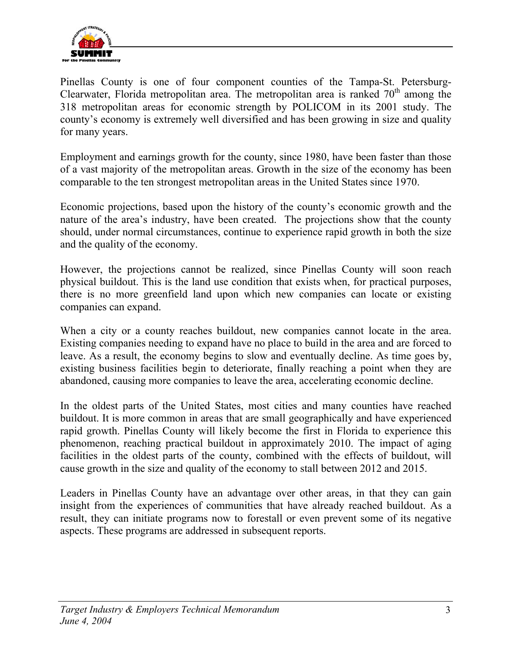

Pinellas County is one of four component counties of the Tampa-St. Petersburg-Clearwater, Florida metropolitan area. The metropolitan area is ranked  $70<sup>th</sup>$  among the 318 metropolitan areas for economic strength by POLICOM in its 2001 study. The county's economy is extremely well diversified and has been growing in size and quality for many years.

Employment and earnings growth for the county, since 1980, have been faster than those of a vast majority of the metropolitan areas. Growth in the size of the economy has been comparable to the ten strongest metropolitan areas in the United States since 1970.

Economic projections, based upon the history of the county's economic growth and the nature of the area's industry, have been created. The projections show that the county should, under normal circumstances, continue to experience rapid growth in both the size and the quality of the economy.

However, the projections cannot be realized, since Pinellas County will soon reach physical buildout. This is the land use condition that exists when, for practical purposes, there is no more greenfield land upon which new companies can locate or existing companies can expand.

When a city or a county reaches buildout, new companies cannot locate in the area. Existing companies needing to expand have no place to build in the area and are forced to leave. As a result, the economy begins to slow and eventually decline. As time goes by, existing business facilities begin to deteriorate, finally reaching a point when they are abandoned, causing more companies to leave the area, accelerating economic decline.

In the oldest parts of the United States, most cities and many counties have reached buildout. It is more common in areas that are small geographically and have experienced rapid growth. Pinellas County will likely become the first in Florida to experience this phenomenon, reaching practical buildout in approximately 2010. The impact of aging facilities in the oldest parts of the county, combined with the effects of buildout, will cause growth in the size and quality of the economy to stall between 2012 and 2015.

Leaders in Pinellas County have an advantage over other areas, in that they can gain insight from the experiences of communities that have already reached buildout. As a result, they can initiate programs now to forestall or even prevent some of its negative aspects. These programs are addressed in subsequent reports.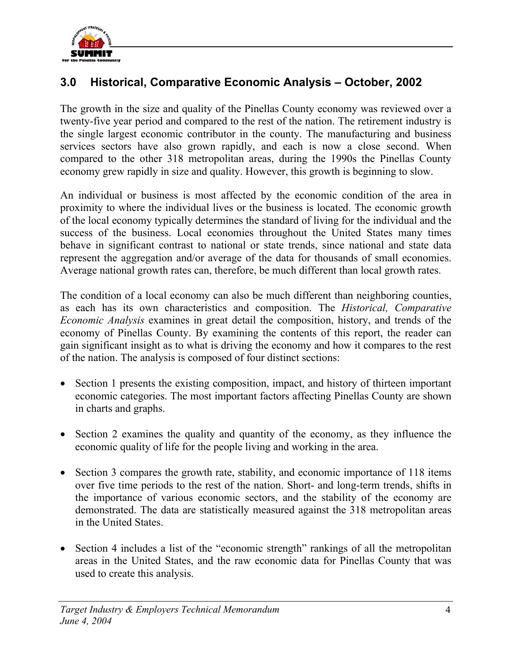

## **3.0 Historical, Comparative Economic Analysis – October, 2002**

The growth in the size and quality of the Pinellas County economy was reviewed over a twenty-five year period and compared to the rest of the nation. The retirement industry is the single largest economic contributor in the county. The manufacturing and business services sectors have also grown rapidly, and each is now a close second. When compared to the other 318 metropolitan areas, during the 1990s the Pinellas County economy grew rapidly in size and quality. However, this growth is beginning to slow.

An individual or business is most affected by the economic condition of the area in proximity to where the individual lives or the business is located. The economic growth of the local economy typically determines the standard of living for the individual and the success of the business. Local economies throughout the United States many times behave in significant contrast to national or state trends, since national and state data represent the aggregation and/or average of the data for thousands of small economies. Average national growth rates can, therefore, be much different than local growth rates.

The condition of a local economy can also be much different than neighboring counties, as each has its own characteristics and composition. The *Historical, Comparative Economic Analysis* examines in great detail the composition, history, and trends of the economy of Pinellas County. By examining the contents of this report, the reader can gain significant insight as to what is driving the economy and how it compares to the rest of the nation. The analysis is composed of four distinct sections:

- Section 1 presents the existing composition, impact, and history of thirteen important economic categories. The most important factors affecting Pinellas County are shown in charts and graphs.
- Section 2 examines the quality and quantity of the economy, as they influence the economic quality of life for the people living and working in the area.
- Section 3 compares the growth rate, stability, and economic importance of 118 items over five time periods to the rest of the nation. Short- and long-term trends, shifts in the importance of various economic sectors, and the stability of the economy are demonstrated. The data are statistically measured against the 318 metropolitan areas in the United States.
- Section 4 includes a list of the "economic strength" rankings of all the metropolitan areas in the United States, and the raw economic data for Pinellas County that was used to create this analysis.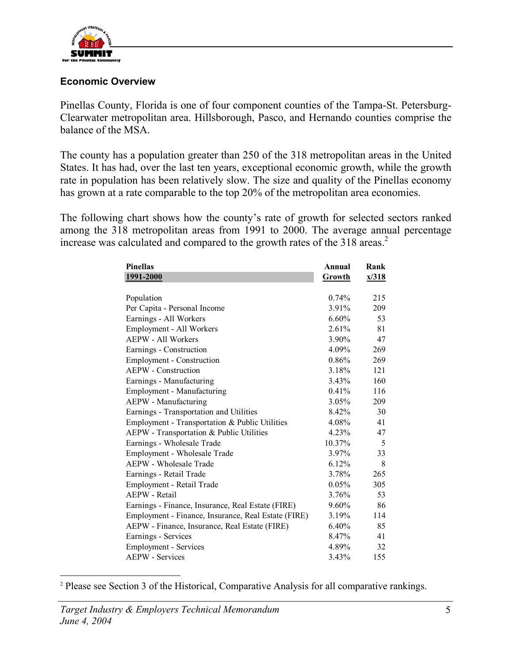

#### **Economic Overview**

Pinellas County, Florida is one of four component counties of the Tampa-St. Petersburg-Clearwater metropolitan area. Hillsborough, Pasco, and Hernando counties comprise the balance of the MSA.

The county has a population greater than 250 of the 318 metropolitan areas in the United States. It has had, over the last ten years, exceptional economic growth, while the growth rate in population has been relatively slow. The size and quality of the Pinellas economy has grown at a rate comparable to the top 20% of the metropolitan area economies.

The following chart shows how the county's rate of growth for selected sectors ranked among the 318 metropolitan areas from 1991 to 2000. The average annual percentage increase was calculated and compared to the growth rates of the 318 areas.<sup>2</sup>

| <b>Pinellas</b>                                     | Annual    | Rank  |
|-----------------------------------------------------|-----------|-------|
| 1991-2000                                           | Growth    | x/318 |
|                                                     |           |       |
| Population                                          | 0.74%     | 215   |
| Per Capita - Personal Income                        | $3.91\%$  | 209   |
| Earnings - All Workers                              | $6.60\%$  | 53    |
| Employment - All Workers                            | 2.61%     | 81    |
| <b>AEPW - All Workers</b>                           | $3.90\%$  | 47    |
| Earnings - Construction                             | 4.09%     | 269   |
| <b>Employment - Construction</b>                    | $0.86\%$  | 269   |
| <b>AEPW</b> - Construction                          | 3.18%     | 121   |
| Earnings - Manufacturing                            | $3.43\%$  | 160   |
| Employment - Manufacturing                          | $0.41\%$  | 116   |
| AEPW - Manufacturing                                | 3.05%     | 209   |
| Earnings - Transportation and Utilities             | 8.42%     | 30    |
| Employment - Transportation & Public Utilities      | 4.08%     | 41    |
| AEPW - Transportation & Public Utilities            | 4.23%     | 47    |
| Earnings - Wholesale Trade                          | $10.37\%$ | 5     |
| Employment - Wholesale Trade                        | $3.97\%$  | 33    |
| AEPW - Wholesale Trade                              | $6.12\%$  | 8     |
| Earnings - Retail Trade                             | 3.78%     | 265   |
| Employment - Retail Trade                           | $0.05\%$  | 305   |
| <b>AEPW</b> - Retail                                | 3.76%     | 53    |
| Earnings - Finance, Insurance, Real Estate (FIRE)   | $9.60\%$  | 86    |
| Employment - Finance, Insurance, Real Estate (FIRE) | $3.19\%$  | 114   |
| AEPW - Finance, Insurance, Real Estate (FIRE)       | $6.40\%$  | 85    |
| Earnings - Services                                 | 8.47%     | 41    |
| Employment - Services                               | 4.89%     | 32    |
| <b>AEPW</b> - Services                              | 3.43%     | 155   |

<sup>&</sup>lt;sup>2</sup> Please see Section 3 of the Historical, Comparative Analysis for all comparative rankings.

 $\overline{a}$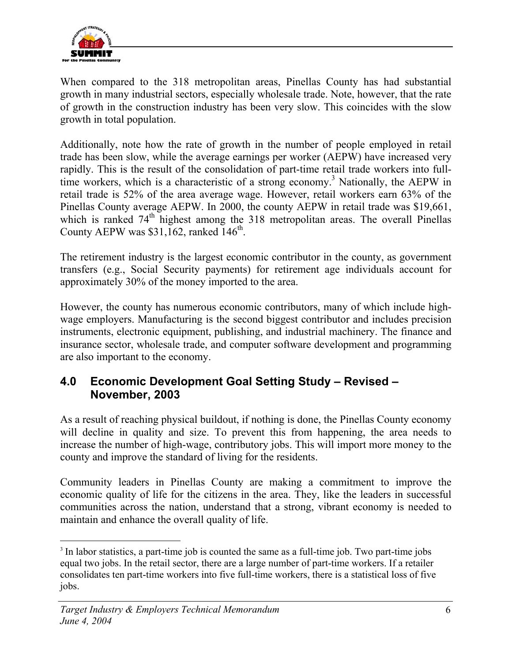

When compared to the 318 metropolitan areas, Pinellas County has had substantial growth in many industrial sectors, especially wholesale trade. Note, however, that the rate of growth in the construction industry has been very slow. This coincides with the slow growth in total population.

Additionally, note how the rate of growth in the number of people employed in retail trade has been slow, while the average earnings per worker (AEPW) have increased very rapidly. This is the result of the consolidation of part-time retail trade workers into fulltime workers, which is a characteristic of a strong economy.<sup>3</sup> Nationally, the AEPW in retail trade is 52% of the area average wage. However, retail workers earn 63% of the Pinellas County average AEPW. In 2000, the county AEPW in retail trade was \$19,661, which is ranked  $74<sup>th</sup>$  highest among the 318 metropolitan areas. The overall Pinellas County AEPW was  $$31,162$ , ranked  $146<sup>th</sup>$ .

The retirement industry is the largest economic contributor in the county, as government transfers (e.g., Social Security payments) for retirement age individuals account for approximately 30% of the money imported to the area.

However, the county has numerous economic contributors, many of which include highwage employers. Manufacturing is the second biggest contributor and includes precision instruments, electronic equipment, publishing, and industrial machinery. The finance and insurance sector, wholesale trade, and computer software development and programming are also important to the economy.

## **4.0 Economic Development Goal Setting Study – Revised – November, 2003**

As a result of reaching physical buildout, if nothing is done, the Pinellas County economy will decline in quality and size. To prevent this from happening, the area needs to increase the number of high-wage, contributory jobs. This will import more money to the county and improve the standard of living for the residents.

Community leaders in Pinellas County are making a commitment to improve the economic quality of life for the citizens in the area. They, like the leaders in successful communities across the nation, understand that a strong, vibrant economy is needed to maintain and enhance the overall quality of life.

 $\overline{a}$ 

<sup>&</sup>lt;sup>3</sup> In labor statistics, a part-time job is counted the same as a full-time job. Two part-time jobs equal two jobs. In the retail sector, there are a large number of part-time workers. If a retailer consolidates ten part-time workers into five full-time workers, there is a statistical loss of five jobs.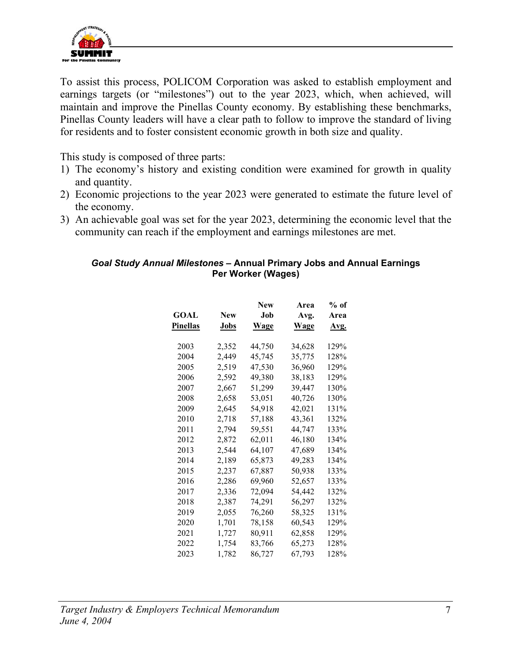

To assist this process, POLICOM Corporation was asked to establish employment and earnings targets (or "milestones") out to the year 2023, which, when achieved, will maintain and improve the Pinellas County economy. By establishing these benchmarks, Pinellas County leaders will have a clear path to follow to improve the standard of living for residents and to foster consistent economic growth in both size and quality.

This study is composed of three parts:

- 1) The economy's history and existing condition were examined for growth in quality and quantity.
- 2) Economic projections to the year 2023 were generated to estimate the future level of the economy.
- 3) An achievable goal was set for the year 2023, determining the economic level that the community can reach if the employment and earnings milestones are met.

#### *Goal Study Annual Milestones –* **Annual Primary Jobs and Annual Earnings Per Worker (Wages)**

|            | <b>New</b>              | Area                                 | $%$ of                     |
|------------|-------------------------|--------------------------------------|----------------------------|
| <b>New</b> | .1ob                    | Avg.                                 | Area                       |
| Jobs       | Wage                    | Wage                                 | Avg.                       |
|            |                         |                                      | 129%                       |
|            |                         |                                      | 128%                       |
|            |                         |                                      | 129%                       |
| 2,592      | 49,380                  | 38.183                               | 129%                       |
| 2,667      |                         | 39,447                               | 130%                       |
| 2,658      | 53,051                  | 40,726                               | 130%                       |
| 2,645      | 54,918                  | 42,021                               | 131%                       |
| 2.718      | 57.188                  | 43,361                               | 132%                       |
| 2,794      | 59,551                  | 44,747                               | 133%                       |
| 2,872      | 62,011                  | 46,180                               | 134%                       |
| 2,544      | 64,107                  | 47,689                               | 134%                       |
| 2,189      | 65,873                  | 49,283                               | 134%                       |
| 2,237      | 67,887                  | 50,938                               | 133%                       |
| 2,286      | 69.960                  | 52,657                               | 133%                       |
| 2,336      | 72,094                  | 54,442                               | 132%                       |
| 2,387      | 74,291                  | 56,297                               | 132%                       |
| 2,055      | 76,260                  | 58,325                               | 131%                       |
| 1,701      | 78,158                  | 60,543                               | 129%                       |
| 1,727      | 80,911                  | 62,858                               | 129%                       |
| 1,754      | 83,766                  | 65,273                               | 128%                       |
| 1,782      | 86,727                  | 67,793                               | 128%                       |
|            | 2,352<br>2,449<br>2,519 | 44,750<br>45,745<br>47,530<br>51,299 | 34,628<br>35,775<br>36,960 |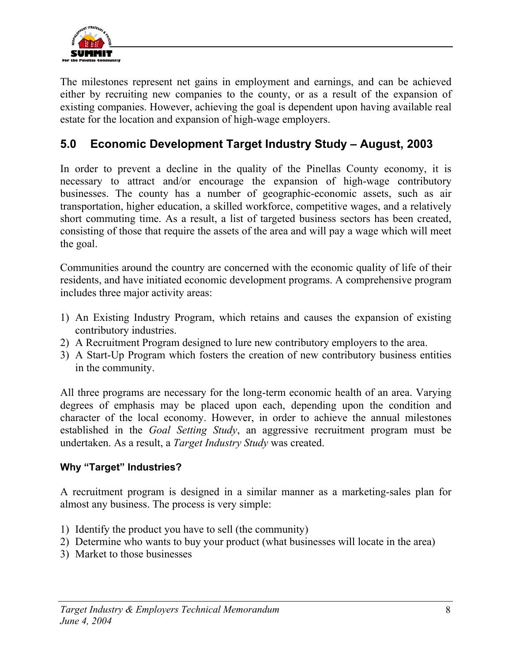

The milestones represent net gains in employment and earnings, and can be achieved either by recruiting new companies to the county, or as a result of the expansion of existing companies. However, achieving the goal is dependent upon having available real estate for the location and expansion of high-wage employers.

## **5.0 Economic Development Target Industry Study – August, 2003**

In order to prevent a decline in the quality of the Pinellas County economy, it is necessary to attract and/or encourage the expansion of high-wage contributory businesses. The county has a number of geographic-economic assets, such as air transportation, higher education, a skilled workforce, competitive wages, and a relatively short commuting time. As a result, a list of targeted business sectors has been created, consisting of those that require the assets of the area and will pay a wage which will meet the goal.

Communities around the country are concerned with the economic quality of life of their residents, and have initiated economic development programs. A comprehensive program includes three major activity areas:

- 1) An Existing Industry Program, which retains and causes the expansion of existing contributory industries.
- 2) A Recruitment Program designed to lure new contributory employers to the area.
- 3) A Start-Up Program which fosters the creation of new contributory business entities in the community.

All three programs are necessary for the long-term economic health of an area. Varying degrees of emphasis may be placed upon each, depending upon the condition and character of the local economy. However, in order to achieve the annual milestones established in the *Goal Setting Study*, an aggressive recruitment program must be undertaken. As a result, a *Target Industry Study* was created.

### **Why "Target" Industries?**

A recruitment program is designed in a similar manner as a marketing-sales plan for almost any business. The process is very simple:

- 1) Identify the product you have to sell (the community)
- 2) Determine who wants to buy your product (what businesses will locate in the area)
- 3) Market to those businesses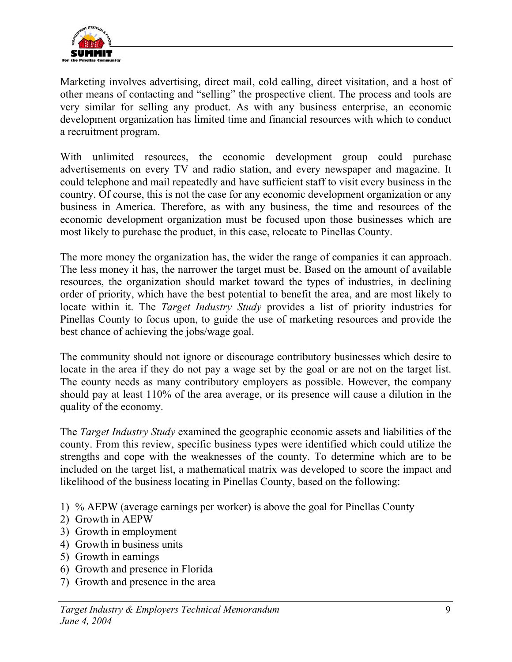

Marketing involves advertising, direct mail, cold calling, direct visitation, and a host of other means of contacting and "selling" the prospective client. The process and tools are very similar for selling any product. As with any business enterprise, an economic development organization has limited time and financial resources with which to conduct a recruitment program.

With unlimited resources, the economic development group could purchase advertisements on every TV and radio station, and every newspaper and magazine. It could telephone and mail repeatedly and have sufficient staff to visit every business in the country. Of course, this is not the case for any economic development organization or any business in America. Therefore, as with any business, the time and resources of the economic development organization must be focused upon those businesses which are most likely to purchase the product, in this case, relocate to Pinellas County.

The more money the organization has, the wider the range of companies it can approach. The less money it has, the narrower the target must be. Based on the amount of available resources, the organization should market toward the types of industries, in declining order of priority, which have the best potential to benefit the area, and are most likely to locate within it. The *Target Industry Study* provides a list of priority industries for Pinellas County to focus upon, to guide the use of marketing resources and provide the best chance of achieving the jobs/wage goal.

The community should not ignore or discourage contributory businesses which desire to locate in the area if they do not pay a wage set by the goal or are not on the target list. The county needs as many contributory employers as possible. However, the company should pay at least 110% of the area average, or its presence will cause a dilution in the quality of the economy.

The *Target Industry Study* examined the geographic economic assets and liabilities of the county. From this review, specific business types were identified which could utilize the strengths and cope with the weaknesses of the county. To determine which are to be included on the target list, a mathematical matrix was developed to score the impact and likelihood of the business locating in Pinellas County, based on the following:

- 1) % AEPW (average earnings per worker) is above the goal for Pinellas County
- 2) Growth in AEPW
- 3) Growth in employment
- 4) Growth in business units
- 5) Growth in earnings
- 6) Growth and presence in Florida
- 7) Growth and presence in the area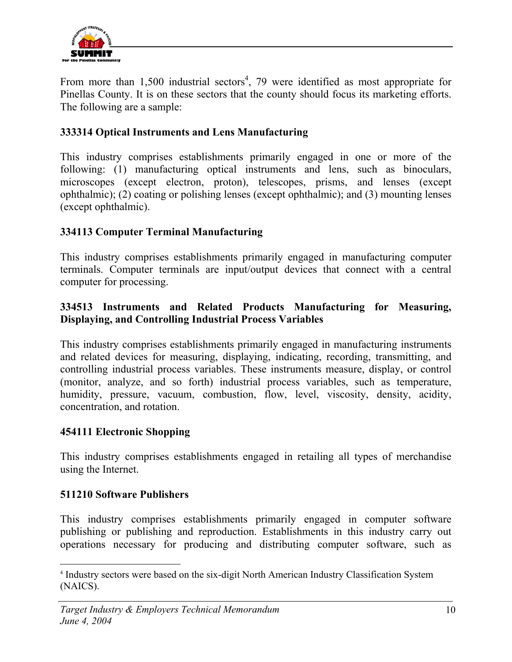

From more than  $1,500$  industrial sectors<sup>4</sup>, 79 were identified as most appropriate for Pinellas County. It is on these sectors that the county should focus its marketing efforts. The following are a sample:

#### **333314 Optical Instruments and Lens Manufacturing**

This industry comprises establishments primarily engaged in one or more of the following: (1) manufacturing optical instruments and lens, such as binoculars, microscopes (except electron, proton), telescopes, prisms, and lenses (except ophthalmic); (2) coating or polishing lenses (except ophthalmic); and (3) mounting lenses (except ophthalmic).

#### **334113 Computer Terminal Manufacturing**

This industry comprises establishments primarily engaged in manufacturing computer terminals. Computer terminals are input/output devices that connect with a central computer for processing.

### **334513 Instruments and Related Products Manufacturing for Measuring, Displaying, and Controlling Industrial Process Variables**

This industry comprises establishments primarily engaged in manufacturing instruments and related devices for measuring, displaying, indicating, recording, transmitting, and controlling industrial process variables. These instruments measure, display, or control (monitor, analyze, and so forth) industrial process variables, such as temperature, humidity, pressure, vacuum, combustion, flow, level, viscosity, density, acidity, concentration, and rotation.

#### **454111 Electronic Shopping**

This industry comprises establishments engaged in retailing all types of merchandise using the Internet.

#### **511210 Software Publishers**

This industry comprises establishments primarily engaged in computer software publishing or publishing and reproduction. Establishments in this industry carry out operations necessary for producing and distributing computer software, such as

 $\overline{a}$ <sup>4</sup> Industry sectors were based on the six-digit North American Industry Classification System (NAICS).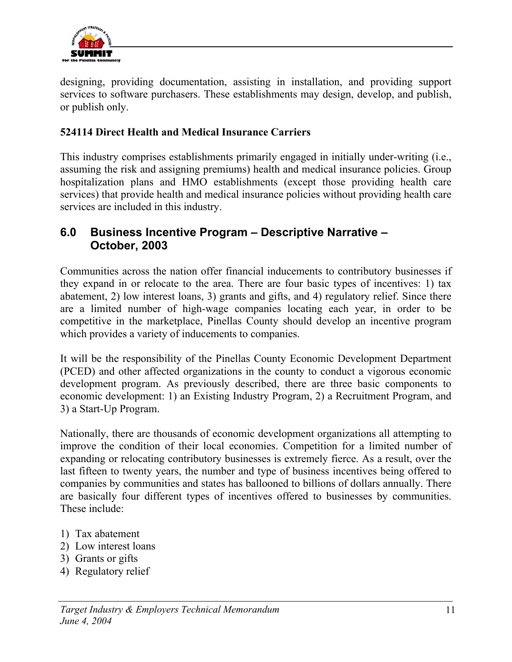

designing, providing documentation, assisting in installation, and providing support services to software purchasers. These establishments may design, develop, and publish, or publish only.

### **524114 Direct Health and Medical Insurance Carriers**

This industry comprises establishments primarily engaged in initially under-writing (i.e., assuming the risk and assigning premiums) health and medical insurance policies. Group hospitalization plans and HMO establishments (except those providing health care services) that provide health and medical insurance policies without providing health care services are included in this industry.

## **6.0 Business Incentive Program – Descriptive Narrative – October, 2003**

Communities across the nation offer financial inducements to contributory businesses if they expand in or relocate to the area. There are four basic types of incentives: 1) tax abatement, 2) low interest loans, 3) grants and gifts, and 4) regulatory relief. Since there are a limited number of high-wage companies locating each year, in order to be competitive in the marketplace, Pinellas County should develop an incentive program which provides a variety of inducements to companies.

It will be the responsibility of the Pinellas County Economic Development Department (PCED) and other affected organizations in the county to conduct a vigorous economic development program. As previously described, there are three basic components to economic development: 1) an Existing Industry Program, 2) a Recruitment Program, and 3) a Start-Up Program.

Nationally, there are thousands of economic development organizations all attempting to improve the condition of their local economies. Competition for a limited number of expanding or relocating contributory businesses is extremely fierce. As a result, over the last fifteen to twenty years, the number and type of business incentives being offered to companies by communities and states has ballooned to billions of dollars annually. There are basically four different types of incentives offered to businesses by communities. These include:

- 1) Tax abatement
- 2) Low interest loans
- 3) Grants or gifts
- 4) Regulatory relief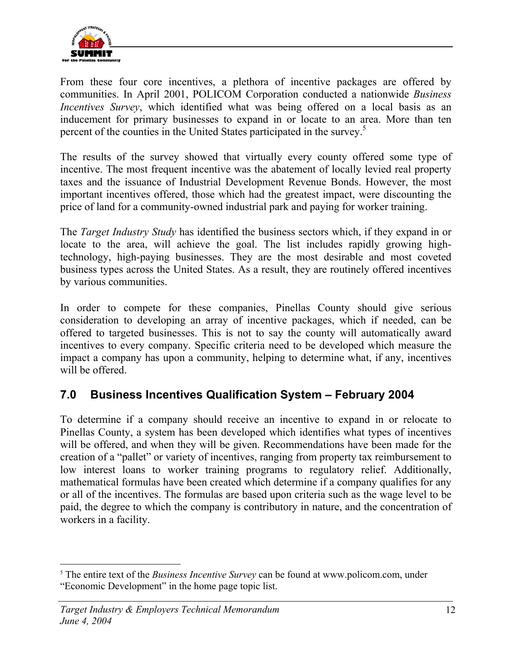

From these four core incentives, a plethora of incentive packages are offered by communities. In April 2001, POLICOM Corporation conducted a nationwide *Business Incentives Survey*, which identified what was being offered on a local basis as an inducement for primary businesses to expand in or locate to an area. More than ten percent of the counties in the United States participated in the survey.<sup>5</sup>

The results of the survey showed that virtually every county offered some type of incentive. The most frequent incentive was the abatement of locally levied real property taxes and the issuance of Industrial Development Revenue Bonds. However, the most important incentives offered, those which had the greatest impact, were discounting the price of land for a community-owned industrial park and paying for worker training.

The *Target Industry Study* has identified the business sectors which, if they expand in or locate to the area, will achieve the goal. The list includes rapidly growing hightechnology, high-paying businesses. They are the most desirable and most coveted business types across the United States. As a result, they are routinely offered incentives by various communities.

In order to compete for these companies, Pinellas County should give serious consideration to developing an array of incentive packages, which if needed, can be offered to targeted businesses. This is not to say the county will automatically award incentives to every company. Specific criteria need to be developed which measure the impact a company has upon a community, helping to determine what, if any, incentives will be offered.

## **7.0 Business Incentives Qualification System – February 2004**

To determine if a company should receive an incentive to expand in or relocate to Pinellas County, a system has been developed which identifies what types of incentives will be offered, and when they will be given. Recommendations have been made for the creation of a "pallet" or variety of incentives, ranging from property tax reimbursement to low interest loans to worker training programs to regulatory relief. Additionally, mathematical formulas have been created which determine if a company qualifies for any or all of the incentives. The formulas are based upon criteria such as the wage level to be paid, the degree to which the company is contributory in nature, and the concentration of workers in a facility.

 $\overline{a}$ 

<sup>&</sup>lt;sup>5</sup> The entire text of the *Business Incentive Survey* can be found at www.policom.com, under "Economic Development" in the home page topic list.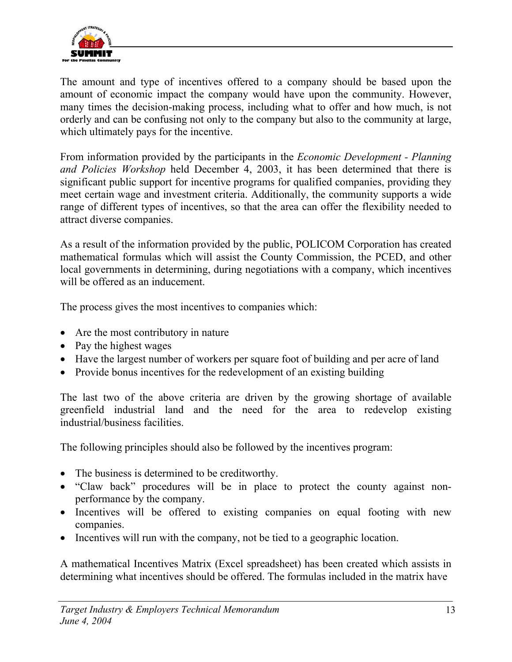

The amount and type of incentives offered to a company should be based upon the amount of economic impact the company would have upon the community. However, many times the decision-making process, including what to offer and how much, is not orderly and can be confusing not only to the company but also to the community at large, which ultimately pays for the incentive.

From information provided by the participants in the *Economic Development - Planning and Policies Workshop* held December 4, 2003, it has been determined that there is significant public support for incentive programs for qualified companies, providing they meet certain wage and investment criteria. Additionally, the community supports a wide range of different types of incentives, so that the area can offer the flexibility needed to attract diverse companies.

As a result of the information provided by the public, POLICOM Corporation has created mathematical formulas which will assist the County Commission, the PCED, and other local governments in determining, during negotiations with a company, which incentives will be offered as an inducement.

The process gives the most incentives to companies which:

- Are the most contributory in nature
- Pay the highest wages
- Have the largest number of workers per square foot of building and per acre of land
- Provide bonus incentives for the redevelopment of an existing building

The last two of the above criteria are driven by the growing shortage of available greenfield industrial land and the need for the area to redevelop existing industrial/business facilities.

The following principles should also be followed by the incentives program:

- The business is determined to be creditworthy.
- "Claw back" procedures will be in place to protect the county against nonperformance by the company.
- Incentives will be offered to existing companies on equal footing with new companies.
- Incentives will run with the company, not be tied to a geographic location.

A mathematical Incentives Matrix (Excel spreadsheet) has been created which assists in determining what incentives should be offered. The formulas included in the matrix have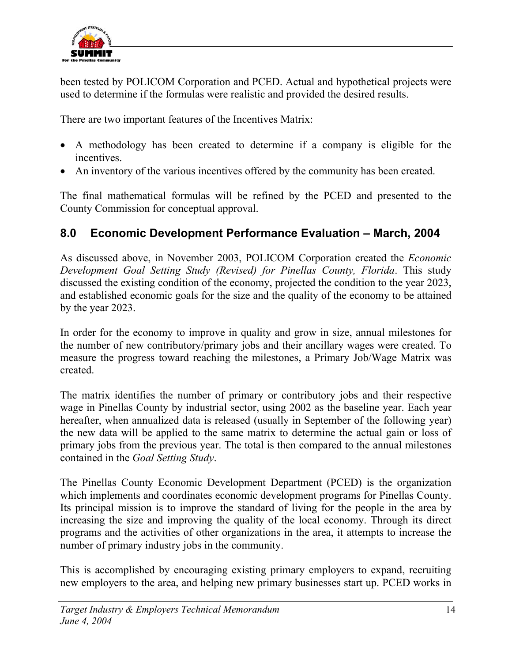

been tested by POLICOM Corporation and PCED. Actual and hypothetical projects were used to determine if the formulas were realistic and provided the desired results.

There are two important features of the Incentives Matrix:

- A methodology has been created to determine if a company is eligible for the incentives.
- An inventory of the various incentives offered by the community has been created.

The final mathematical formulas will be refined by the PCED and presented to the County Commission for conceptual approval.

## **8.0 Economic Development Performance Evaluation – March, 2004**

As discussed above, in November 2003, POLICOM Corporation created the *Economic Development Goal Setting Study (Revised) for Pinellas County, Florida*. This study discussed the existing condition of the economy, projected the condition to the year 2023, and established economic goals for the size and the quality of the economy to be attained by the year 2023.

In order for the economy to improve in quality and grow in size, annual milestones for the number of new contributory/primary jobs and their ancillary wages were created. To measure the progress toward reaching the milestones, a Primary Job/Wage Matrix was created.

The matrix identifies the number of primary or contributory jobs and their respective wage in Pinellas County by industrial sector, using 2002 as the baseline year. Each year hereafter, when annualized data is released (usually in September of the following year) the new data will be applied to the same matrix to determine the actual gain or loss of primary jobs from the previous year. The total is then compared to the annual milestones contained in the *Goal Setting Study*.

The Pinellas County Economic Development Department (PCED) is the organization which implements and coordinates economic development programs for Pinellas County. Its principal mission is to improve the standard of living for the people in the area by increasing the size and improving the quality of the local economy. Through its direct programs and the activities of other organizations in the area, it attempts to increase the number of primary industry jobs in the community.

This is accomplished by encouraging existing primary employers to expand, recruiting new employers to the area, and helping new primary businesses start up. PCED works in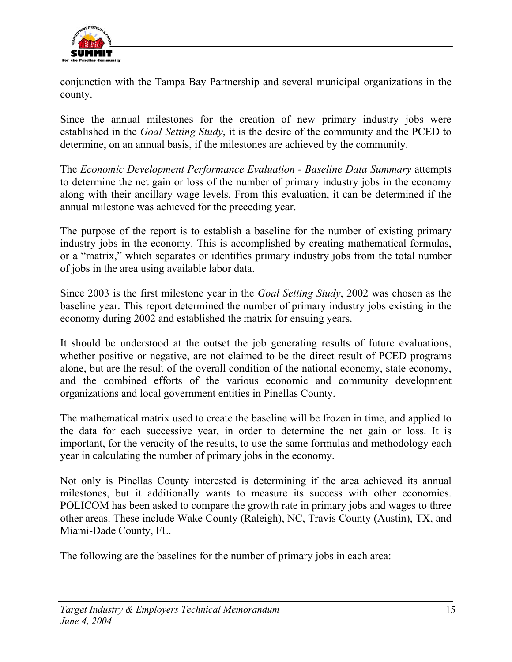

conjunction with the Tampa Bay Partnership and several municipal organizations in the county.

Since the annual milestones for the creation of new primary industry jobs were established in the *Goal Setting Study*, it is the desire of the community and the PCED to determine, on an annual basis, if the milestones are achieved by the community.

The *Economic Development Performance Evaluation - Baseline Data Summary* attempts to determine the net gain or loss of the number of primary industry jobs in the economy along with their ancillary wage levels. From this evaluation, it can be determined if the annual milestone was achieved for the preceding year.

The purpose of the report is to establish a baseline for the number of existing primary industry jobs in the economy. This is accomplished by creating mathematical formulas, or a "matrix," which separates or identifies primary industry jobs from the total number of jobs in the area using available labor data.

Since 2003 is the first milestone year in the *Goal Setting Study*, 2002 was chosen as the baseline year. This report determined the number of primary industry jobs existing in the economy during 2002 and established the matrix for ensuing years.

It should be understood at the outset the job generating results of future evaluations, whether positive or negative, are not claimed to be the direct result of PCED programs alone, but are the result of the overall condition of the national economy, state economy, and the combined efforts of the various economic and community development organizations and local government entities in Pinellas County.

The mathematical matrix used to create the baseline will be frozen in time, and applied to the data for each successive year, in order to determine the net gain or loss. It is important, for the veracity of the results, to use the same formulas and methodology each year in calculating the number of primary jobs in the economy.

Not only is Pinellas County interested is determining if the area achieved its annual milestones, but it additionally wants to measure its success with other economies. POLICOM has been asked to compare the growth rate in primary jobs and wages to three other areas. These include Wake County (Raleigh), NC, Travis County (Austin), TX, and Miami-Dade County, FL.

The following are the baselines for the number of primary jobs in each area: